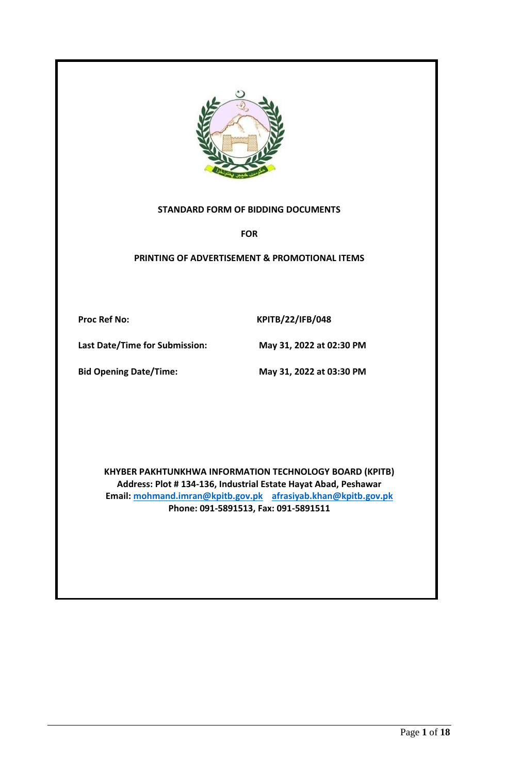

#### **STANDARD FORM OF BIDDING DOCUMENTS**

**FOR**

**PRINTING OF ADVERTISEMENT & PROMOTIONAL ITEMS**

Proc Ref No: KPITB/22/IFB/048

**Last Date/Time for Submission: May 31, 2022 at 02:30 PM**

**Bid Opening Date/Time: May 31, 2022 at 03:30 PM**

**KHYBER PAKHTUNKHWA INFORMATION TECHNOLOGY BOARD (KPITB) Address: Plot # 134-136, Industrial Estate Hayat Abad, Peshawar Email: [mohmand.imran@kpitb.gov.pk](mailto:mohmand.imran@kpitb.gov.pk) afrasiyab.khan@kpitb.gov.pk Phone: 091-5891513, Fax: 091-5891511**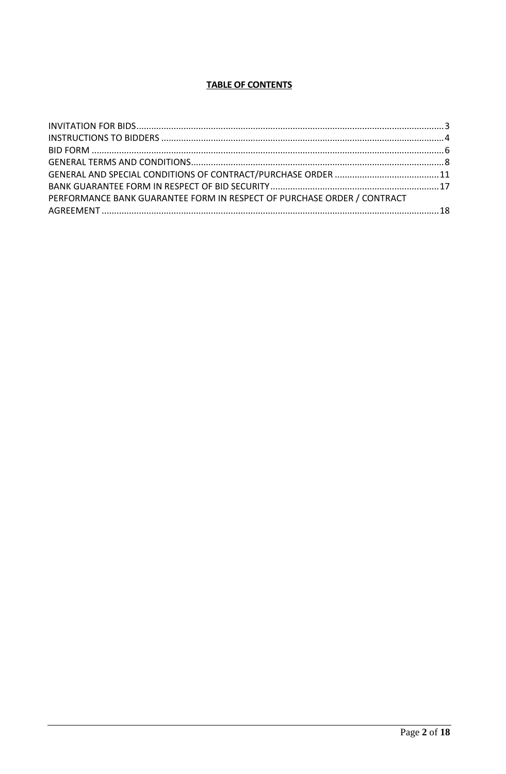# **TABLE OF CONTENTS**

| PERFORMANCE BANK GUARANTEE FORM IN RESPECT OF PURCHASE ORDER / CONTRACT |  |
|-------------------------------------------------------------------------|--|
|                                                                         |  |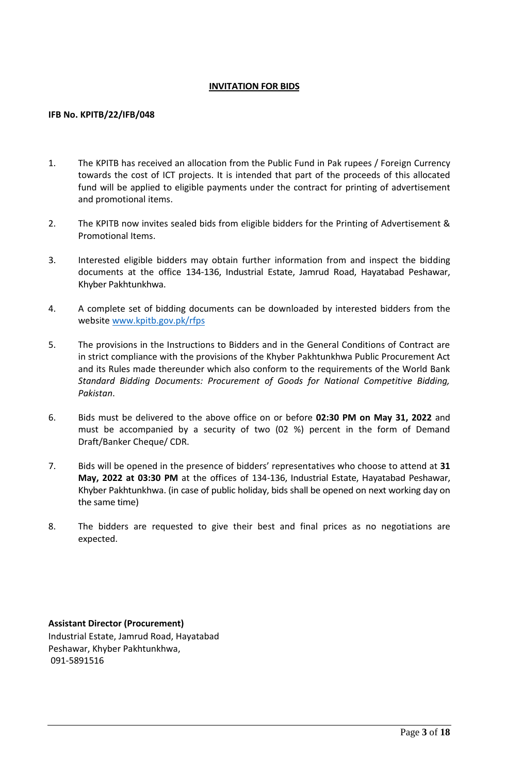#### **INVITATION FOR BIDS**

#### <span id="page-2-0"></span>**IFB No. KPITB/22/IFB/048**

- 1. The KPITB has received an allocation from the Public Fund in Pak rupees / Foreign Currency towards the cost of ICT projects. It is intended that part of the proceeds of this allocated fund will be applied to eligible payments under the contract for printing of advertisement and promotional items.
- 2. The KPITB now invites sealed bids from eligible bidders for the Printing of Advertisement & Promotional Items.
- 3. Interested eligible bidders may obtain further information from and inspect the bidding documents at the office 134-136, Industrial Estate, Jamrud Road, Hayatabad Peshawar, Khyber Pakhtunkhwa.
- 4. A complete set of bidding documents can be downloaded by interested bidders from the website [www.kpitb.gov.pk/rfps](http://www.kpitb.gov.pk/rfps)
- 5. The provisions in the Instructions to Bidders and in the General Conditions of Contract are in strict compliance with the provisions of the Khyber Pakhtunkhwa Public Procurement Act and its Rules made thereunder which also conform to the requirements of the World Bank *Standard Bidding Documents: Procurement of Goods for National Competitive Bidding, Pakistan*.
- 6. Bids must be delivered to the above office on or before **02:30 PM on May 31, 2022** and must be accompanied by a security of two (02 %) percent in the form of Demand Draft/Banker Cheque/ CDR.
- 7. Bids will be opened in the presence of bidders' representatives who choose to attend at **31 May, 2022 at 03:30 PM** at the offices of 134-136, Industrial Estate, Hayatabad Peshawar, Khyber Pakhtunkhwa. (in case of public holiday, bids shall be opened on next working day on the same time)
- 8. The bidders are requested to give their best and final prices as no negotiations are expected.

**Assistant Director (Procurement)** Industrial Estate, Jamrud Road, Hayatabad Peshawar, Khyber Pakhtunkhwa, 091-5891516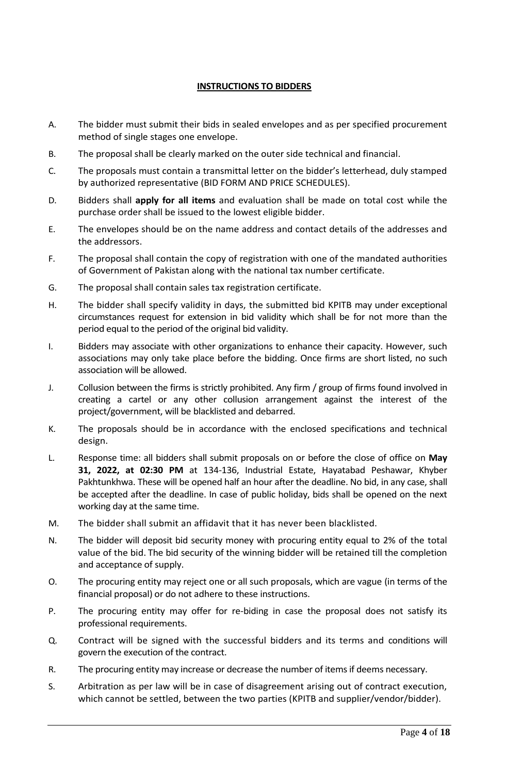#### **INSTRUCTIONS TO BIDDERS**

- <span id="page-3-0"></span>A. The bidder must submit their bids in sealed envelopes and as per specified procurement method of single stages one envelope.
- B. The proposal shall be clearly marked on the outer side technical and financial.
- C. The proposals must contain a transmittal letter on the bidder's letterhead, duly stamped by authorized representative (BID FORM AND PRICE SCHEDULES).
- D. Bidders shall **apply for all items** and evaluation shall be made on total cost while the purchase order shall be issued to the lowest eligible bidder.
- E. The envelopes should be on the name address and contact details of the addresses and the addressors.
- F. The proposal shall contain the copy of registration with one of the mandated authorities of Government of Pakistan along with the national tax number certificate.
- G. The proposal shall contain sales tax registration certificate.
- H. The bidder shall specify validity in days, the submitted bid KPITB may under exceptional circumstances request for extension in bid validity which shall be for not more than the period equal to the period of the original bid validity.
- I. Bidders may associate with other organizations to enhance their capacity. However, such associations may only take place before the bidding. Once firms are short listed, no such association will be allowed.
- J. Collusion between the firms is strictly prohibited. Any firm / group of firms found involved in creating a cartel or any other collusion arrangement against the interest of the project/government, will be blacklisted and debarred.
- K. The proposals should be in accordance with the enclosed specifications and technical design.
- L. Response time: all bidders shall submit proposals on or before the close of office on **May 31, 2022, at 02:30 PM** at 134-136, Industrial Estate, Hayatabad Peshawar, Khyber Pakhtunkhwa. These will be opened half an hour after the deadline. No bid, in any case, shall be accepted after the deadline. In case of public holiday, bids shall be opened on the next working day at the same time.
- M. The bidder shall submit an affidavit that it has never been blacklisted.
- N. The bidder will deposit bid security money with procuring entity equal to 2% of the total value of the bid. The bid security of the winning bidder will be retained till the completion and acceptance of supply.
- O. The procuring entity may reject one or all such proposals, which are vague (in terms of the financial proposal) or do not adhere to these instructions.
- P. The procuring entity may offer for re-biding in case the proposal does not satisfy its professional requirements.
- Q. Contract will be signed with the successful bidders and its terms and conditions will govern the execution of the contract.
- R. The procuring entity may increase or decrease the number of items if deems necessary.
- S. Arbitration as per law will be in case of disagreement arising out of contract execution, which cannot be settled, between the two parties (KPITB and supplier/vendor/bidder).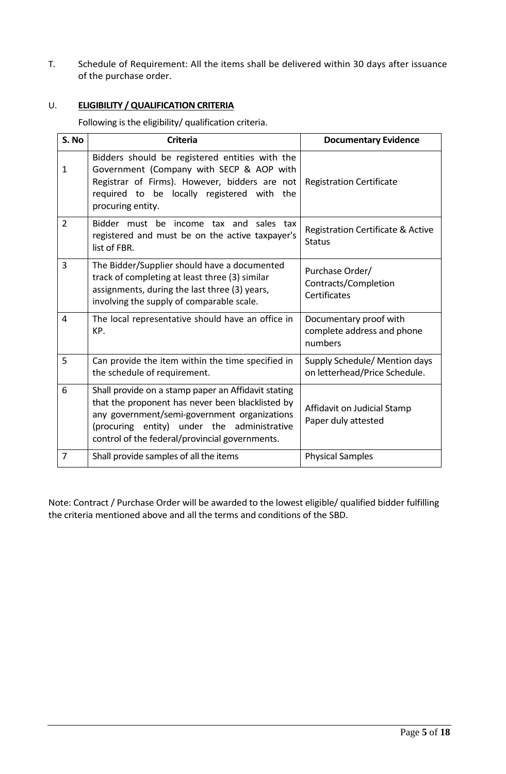T. Schedule of Requirement: All the items shall be delivered within 30 days after issuance of the purchase order.

# U. **ELIGIBILITY / QUALIFICATION CRITERIA**

Following is the eligibility/ qualification criteria.

| S. No          | <b>Criteria</b>                                                                                                                                                                                                                                          | <b>Documentary Evidence</b>                                     |
|----------------|----------------------------------------------------------------------------------------------------------------------------------------------------------------------------------------------------------------------------------------------------------|-----------------------------------------------------------------|
| $\mathbf{1}$   | Bidders should be registered entities with the<br>Government (Company with SECP & AOP with<br>Registrar of Firms). However, bidders are not<br>required to be locally registered with the<br>procuring entity.                                           | <b>Registration Certificate</b>                                 |
| $\overline{2}$ | Bidder must be income tax and<br>sales tax<br>registered and must be on the active taxpayer's<br>list of FBR.                                                                                                                                            | Registration Certificate & Active<br><b>Status</b>              |
| 3              | The Bidder/Supplier should have a documented<br>track of completing at least three (3) similar<br>assignments, during the last three (3) years,<br>involving the supply of comparable scale.                                                             | Purchase Order/<br>Contracts/Completion<br>Certificates         |
| 4              | The local representative should have an office in<br>KP.                                                                                                                                                                                                 | Documentary proof with<br>complete address and phone<br>numbers |
| 5              | Can provide the item within the time specified in<br>the schedule of requirement.                                                                                                                                                                        | Supply Schedule/ Mention days<br>on letterhead/Price Schedule.  |
| 6              | Shall provide on a stamp paper an Affidavit stating<br>that the proponent has never been blacklisted by<br>any government/semi-government organizations<br>(procuring entity) under the administrative<br>control of the federal/provincial governments. | Affidavit on Judicial Stamp<br>Paper duly attested              |
| 7              | Shall provide samples of all the items                                                                                                                                                                                                                   | <b>Physical Samples</b>                                         |

Note: Contract / Purchase Order will be awarded to the lowest eligible/ qualified bidder fulfilling the criteria mentioned above and all the terms and conditions of the SBD.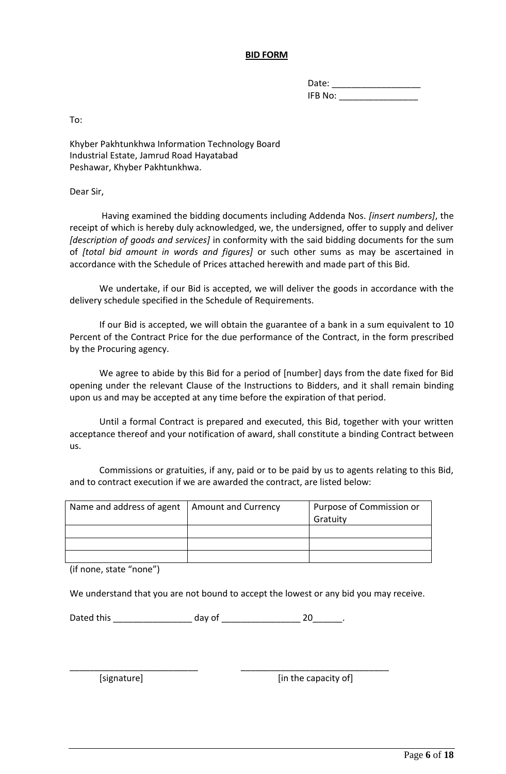#### **BID FORM**

| Date:   |  |
|---------|--|
| IFB No: |  |

<span id="page-5-0"></span>To:

Khyber Pakhtunkhwa Information Technology Board Industrial Estate, Jamrud Road Hayatabad Peshawar, Khyber Pakhtunkhwa.

Dear Sir,

 Having examined the bidding documents including Addenda Nos. *[insert numbers]*, the receipt of which is hereby duly acknowledged, we, the undersigned, offer to supply and deliver *[description of goods and services]* in conformity with the said bidding documents for the sum of *[total bid amount in words and figures]* or such other sums as may be ascertained in accordance with the Schedule of Prices attached herewith and made part of this Bid.

We undertake, if our Bid is accepted, we will deliver the goods in accordance with the delivery schedule specified in the Schedule of Requirements.

If our Bid is accepted, we will obtain the guarantee of a bank in a sum equivalent to 10 Percent of the Contract Price for the due performance of the Contract, in the form prescribed by the Procuring agency.

We agree to abide by this Bid for a period of [number] days from the date fixed for Bid opening under the relevant Clause of the Instructions to Bidders, and it shall remain binding upon us and may be accepted at any time before the expiration of that period.

Until a formal Contract is prepared and executed, this Bid, together with your written acceptance thereof and your notification of award, shall constitute a binding Contract between us.

Commissions or gratuities, if any, paid or to be paid by us to agents relating to this Bid, and to contract execution if we are awarded the contract, are listed below:

| Name and address of agent   Amount and Currency | Purpose of Commission or |
|-------------------------------------------------|--------------------------|
|                                                 | Gratuity                 |
|                                                 |                          |
|                                                 |                          |
|                                                 |                          |
|                                                 |                          |

(if none, state "none")

We understand that you are not bound to accept the lowest or any bid you may receive.

Dated this \_\_\_\_\_\_\_\_\_\_\_\_\_\_\_\_\_\_\_\_ day of \_\_\_\_\_\_\_\_\_\_\_\_\_\_\_\_\_\_\_\_\_\_\_ 20\_\_\_\_\_\_\_.

\_\_\_\_\_\_\_\_\_\_\_\_\_\_\_\_\_\_\_\_\_\_\_\_\_\_ \_\_\_\_\_\_\_\_\_\_\_\_\_\_\_\_\_\_\_\_\_\_\_\_\_\_\_\_\_\_

[signature] [in the capacity of]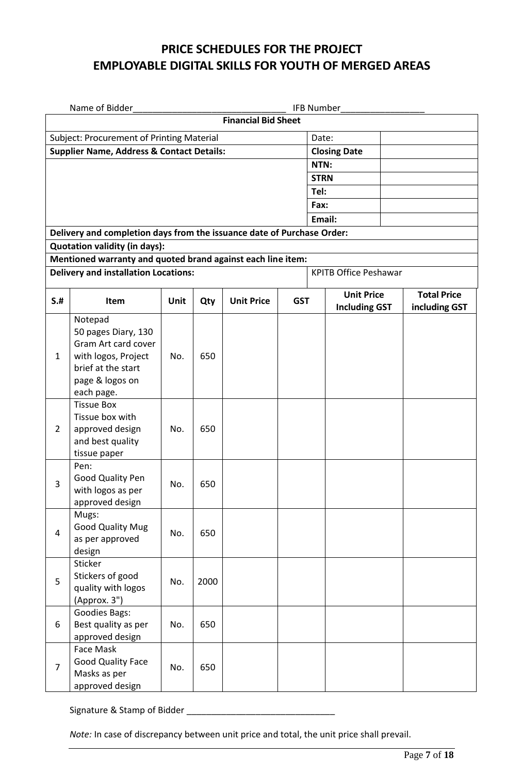# **PRICE SCHEDULES FOR THE PROJECT EMPLOYABLE DIGITAL SKILLS FOR YOUTH OF MERGED AREAS**

|                                           | Name of Bidder                                                                                                                                                                                                                                                                                                                                    |      |      |                            |            |                     | <b>IFB Number</b>            |                    |  |
|-------------------------------------------|---------------------------------------------------------------------------------------------------------------------------------------------------------------------------------------------------------------------------------------------------------------------------------------------------------------------------------------------------|------|------|----------------------------|------------|---------------------|------------------------------|--------------------|--|
|                                           |                                                                                                                                                                                                                                                                                                                                                   |      |      | <b>Financial Bid Sheet</b> |            |                     |                              |                    |  |
| Subject: Procurement of Printing Material |                                                                                                                                                                                                                                                                                                                                                   |      |      |                            |            | Date:               |                              |                    |  |
|                                           | <b>Supplier Name, Address &amp; Contact Details:</b>                                                                                                                                                                                                                                                                                              |      |      |                            |            | <b>Closing Date</b> |                              |                    |  |
|                                           |                                                                                                                                                                                                                                                                                                                                                   |      |      |                            |            | NTN:                |                              |                    |  |
|                                           |                                                                                                                                                                                                                                                                                                                                                   |      |      |                            |            | <b>STRN</b>         |                              |                    |  |
|                                           |                                                                                                                                                                                                                                                                                                                                                   |      |      |                            |            | Tel:                |                              |                    |  |
|                                           |                                                                                                                                                                                                                                                                                                                                                   |      |      |                            |            | Fax:                |                              |                    |  |
|                                           |                                                                                                                                                                                                                                                                                                                                                   |      |      |                            |            |                     | Email:                       |                    |  |
|                                           | Delivery and completion days from the issuance date of Purchase Order:                                                                                                                                                                                                                                                                            |      |      |                            |            |                     |                              |                    |  |
|                                           | <b>Quotation validity (in days):</b>                                                                                                                                                                                                                                                                                                              |      |      |                            |            |                     |                              |                    |  |
|                                           | Mentioned warranty and quoted brand against each line item:                                                                                                                                                                                                                                                                                       |      |      |                            |            |                     |                              |                    |  |
|                                           | <b>Delivery and installation Locations:</b>                                                                                                                                                                                                                                                                                                       |      |      |                            |            |                     | <b>KPITB Office Peshawar</b> |                    |  |
| $S+$                                      | Item                                                                                                                                                                                                                                                                                                                                              | Unit | Qty  | <b>Unit Price</b>          | <b>GST</b> |                     | <b>Unit Price</b>            | <b>Total Price</b> |  |
|                                           | Notepad                                                                                                                                                                                                                                                                                                                                           |      |      |                            |            |                     | <b>Including GST</b>         | including GST      |  |
|                                           |                                                                                                                                                                                                                                                                                                                                                   |      |      |                            |            |                     |                              |                    |  |
|                                           | Gram Art card cover                                                                                                                                                                                                                                                                                                                               |      |      |                            |            |                     |                              |                    |  |
| $\mathbf{1}$                              | with logos, Project                                                                                                                                                                                                                                                                                                                               | No.  | 650  |                            |            |                     |                              |                    |  |
|                                           | brief at the start                                                                                                                                                                                                                                                                                                                                |      |      |                            |            |                     |                              |                    |  |
|                                           |                                                                                                                                                                                                                                                                                                                                                   |      |      |                            |            |                     |                              |                    |  |
|                                           |                                                                                                                                                                                                                                                                                                                                                   |      |      |                            |            |                     |                              |                    |  |
|                                           |                                                                                                                                                                                                                                                                                                                                                   |      |      |                            |            |                     |                              |                    |  |
| $\overline{2}$                            |                                                                                                                                                                                                                                                                                                                                                   | No.  | 650  |                            |            |                     |                              |                    |  |
|                                           | and best quality                                                                                                                                                                                                                                                                                                                                  |      |      |                            |            |                     |                              |                    |  |
|                                           | tissue paper                                                                                                                                                                                                                                                                                                                                      |      |      |                            |            |                     |                              |                    |  |
|                                           | Pen:                                                                                                                                                                                                                                                                                                                                              |      |      |                            |            |                     |                              |                    |  |
| 3                                         |                                                                                                                                                                                                                                                                                                                                                   | No.  | 650  |                            |            |                     |                              |                    |  |
|                                           |                                                                                                                                                                                                                                                                                                                                                   |      |      |                            |            |                     |                              |                    |  |
|                                           |                                                                                                                                                                                                                                                                                                                                                   |      |      |                            |            |                     |                              |                    |  |
|                                           |                                                                                                                                                                                                                                                                                                                                                   |      |      |                            |            |                     |                              |                    |  |
|                                           | as per approved                                                                                                                                                                                                                                                                                                                                   |      |      |                            |            |                     |                              |                    |  |
|                                           | design                                                                                                                                                                                                                                                                                                                                            |      |      |                            |            |                     |                              |                    |  |
|                                           |                                                                                                                                                                                                                                                                                                                                                   |      |      |                            |            |                     |                              |                    |  |
| 5                                         |                                                                                                                                                                                                                                                                                                                                                   | No.  | 2000 |                            |            |                     |                              |                    |  |
|                                           |                                                                                                                                                                                                                                                                                                                                                   |      |      |                            |            |                     |                              |                    |  |
|                                           |                                                                                                                                                                                                                                                                                                                                                   |      |      |                            |            |                     |                              |                    |  |
| 6                                         | Best quality as per                                                                                                                                                                                                                                                                                                                               | No.  | 650  |                            |            |                     |                              |                    |  |
|                                           | approved design                                                                                                                                                                                                                                                                                                                                   |      |      |                            |            |                     |                              |                    |  |
|                                           | Face Mask                                                                                                                                                                                                                                                                                                                                         |      |      |                            |            |                     |                              |                    |  |
| $\overline{7}$                            |                                                                                                                                                                                                                                                                                                                                                   | No.  | 650  |                            |            |                     |                              |                    |  |
|                                           | approved design                                                                                                                                                                                                                                                                                                                                   |      |      |                            |            |                     |                              |                    |  |
| $\overline{4}$                            | 50 pages Diary, 130<br>page & logos on<br>each page.<br><b>Tissue Box</b><br>Tissue box with<br>approved design<br>Good Quality Pen<br>with logos as per<br>approved design<br>Mugs:<br><b>Good Quality Mug</b><br>Sticker<br>Stickers of good<br>quality with logos<br>(Approx. 3")<br><b>Goodies Bags:</b><br>Good Quality Face<br>Masks as per | No.  | 650  |                            |            |                     |                              |                    |  |

Signature & Stamp of Bidder \_\_\_\_\_\_\_\_\_\_\_\_\_\_\_\_\_\_\_\_\_\_\_\_\_\_\_\_\_\_

*Note:* In case of discrepancy between unit price and total, the unit price shall prevail.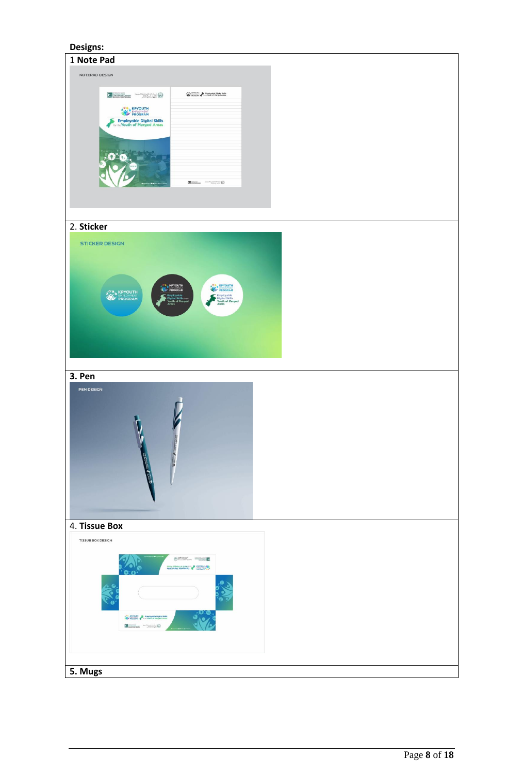#### <span id="page-7-0"></span>**Designs:**

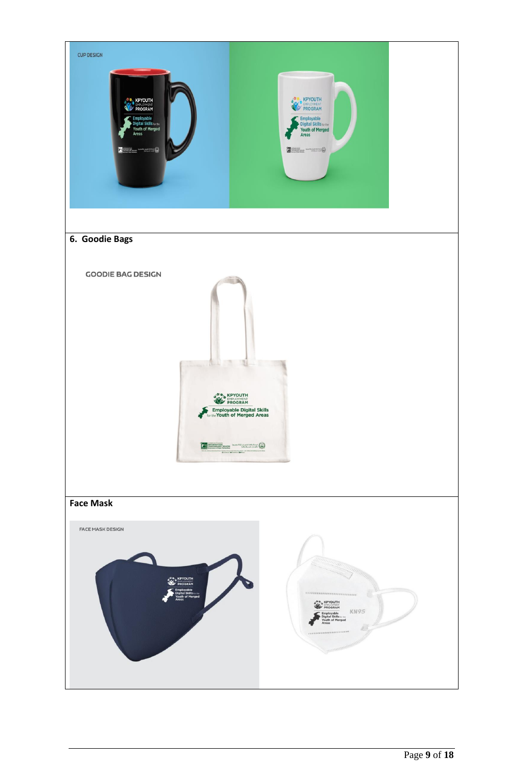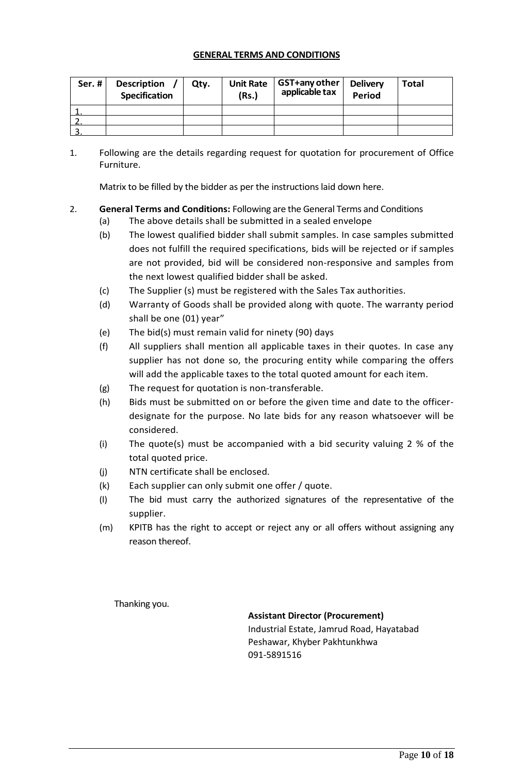#### **GENERAL TERMS AND CONDITIONS**

| Ser.# | <b>Description</b><br><b>Specification</b> | Qty. | <b>Unit Rate</b><br>(Rs.) | GST+any other<br>applicable tax | <b>Delivery</b><br><b>Period</b> | <b>Total</b> |
|-------|--------------------------------------------|------|---------------------------|---------------------------------|----------------------------------|--------------|
|       |                                            |      |                           |                                 |                                  |              |
|       |                                            |      |                           |                                 |                                  |              |
|       |                                            |      |                           |                                 |                                  |              |

1. Following are the details regarding request for quotation for procurement of Office Furniture.

Matrix to be filled by the bidder as per the instructions laid down here.

# 2. **General Terms and Conditions:** Following are the General Terms and Conditions

- (a) The above details shall be submitted in a sealed envelope
- (b) The lowest qualified bidder shall submit samples. In case samples submitted does not fulfill the required specifications, bids will be rejected or if samples are not provided, bid will be considered non-responsive and samples from the next lowest qualified bidder shall be asked.
- (c) The Supplier (s) must be registered with the Sales Tax authorities.
- (d) Warranty of Goods shall be provided along with quote. The warranty period shall be one (01) year"
- (e) The bid(s) must remain valid for ninety (90) days
- (f) All suppliers shall mention all applicable taxes in their quotes. In case any supplier has not done so, the procuring entity while comparing the offers will add the applicable taxes to the total quoted amount for each item.
- (g) The request for quotation is non-transferable.
- (h) Bids must be submitted on or before the given time and date to the officerdesignate for the purpose. No late bids for any reason whatsoever will be considered.
- (i) The quote(s) must be accompanied with a bid security valuing 2 % of the total quoted price.
- (j) NTN certificate shall be enclosed.
- (k) Each supplier can only submit one offer / quote.
- (l) The bid must carry the authorized signatures of the representative of the supplier.
- (m) KPITB has the right to accept or reject any or all offers without assigning any reason thereof.

Thanking you.

**Assistant Director (Procurement)**

Industrial Estate, Jamrud Road, Hayatabad Peshawar, Khyber Pakhtunkhwa 091-5891516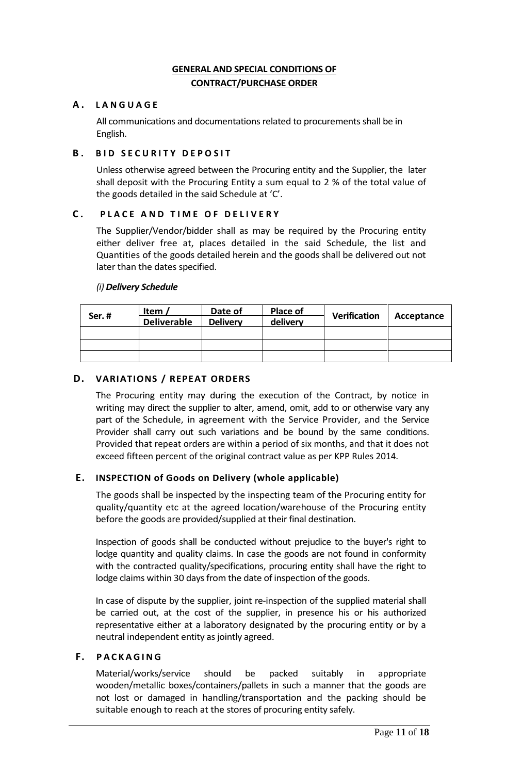### **GENERAL AND SPECIAL CONDITIONS OF CONTRACT/PURCHASE ORDER**

### <span id="page-10-0"></span>**A . L A N G U A G E**

All communications and documentations related to procurements shall be in English.

### **B. BID SECURITY DEPOSIT**

Unless otherwise agreed between the Procuring entity and the Supplier, the later shall deposit with the Procuring Entity a sum equal to 2 % of the total value of the goods detailed in the said Schedule at 'C'.

#### **C . P L A C E A N D T I M E O F D E L I V E R Y**

The Supplier/Vendor/bidder shall as may be required by the Procuring entity either deliver free at, places detailed in the said Schedule, the list and Quantities of the goods detailed herein and the goods shall be delivered out not later than the dates specified.

#### *(i) Delivery Schedule*

| Ser.# | Item $\lambda$     | Date of         | Place of | <b>Verification</b> | Acceptance |
|-------|--------------------|-----------------|----------|---------------------|------------|
|       | <b>Deliverable</b> | <b>Delivery</b> | delivery |                     |            |
|       |                    |                 |          |                     |            |
|       |                    |                 |          |                     |            |
|       |                    |                 |          |                     |            |

#### **D. VARIATIONS / REPEAT ORDERS**

The Procuring entity may during the execution of the Contract, by notice in writing may direct the supplier to alter, amend, omit, add to or otherwise vary any part of the Schedule, in agreement with the Service Provider, and the Service Provider shall carry out such variations and be bound by the same conditions. Provided that repeat orders are within a period of six months, and that it does not exceed fifteen percent of the original contract value as per KPP Rules 2014.

#### **E. INSPECTION of Goods on Delivery (whole applicable)**

The goods shall be inspected by the inspecting team of the Procuring entity for quality/quantity etc at the agreed location/warehouse of the Procuring entity before the goods are provided/supplied at their final destination.

Inspection of goods shall be conducted without prejudice to the buyer's right to lodge quantity and quality claims. In case the goods are not found in conformity with the contracted quality/specifications, procuring entity shall have the right to lodge claims within 30 days from the date of inspection of the goods.

In case of dispute by the supplier, joint re-inspection of the supplied material shall be carried out, at the cost of the supplier, in presence his or his authorized representative either at a laboratory designated by the procuring entity or by a neutral independent entity as jointly agreed.

#### **F. P A C K A G I N G**

Material/works/service should be packed suitably in appropriate wooden/metallic boxes/containers/pallets in such a manner that the goods are not lost or damaged in handling/transportation and the packing should be suitable enough to reach at the stores of procuring entity safely.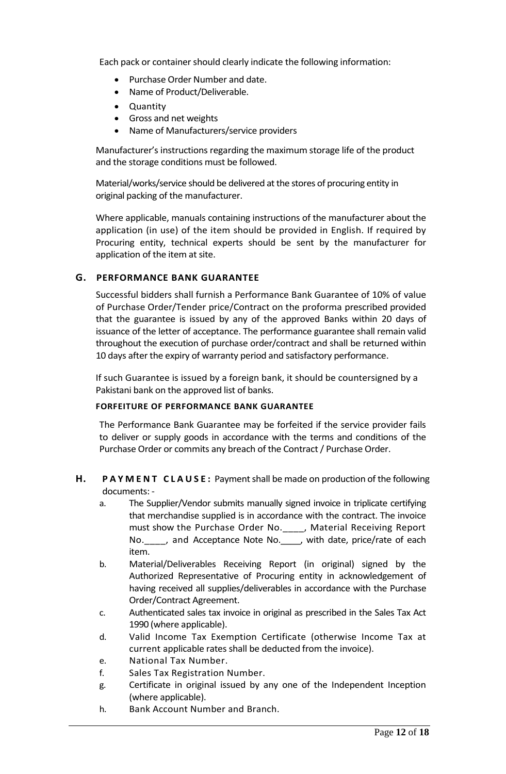Each pack or container should clearly indicate the following information:

- Purchase Order Number and date.
- Name of Product/Deliverable.
- Quantity
- Gross and net weights
- Name of Manufacturers/service providers

Manufacturer's instructions regarding the maximum storage life of the product and the storage conditions must be followed.

Material/works/service should be delivered at the stores of procuring entity in original packing of the manufacturer.

Where applicable, manuals containing instructions of the manufacturer about the application (in use) of the item should be provided in English. If required by Procuring entity, technical experts should be sent by the manufacturer for application of the item at site.

#### **G. PERFORMANCE BANK GUARANTEE**

Successful bidders shall furnish a Performance Bank Guarantee of 10% of value of Purchase Order/Tender price/Contract on the proforma prescribed provided that the guarantee is issued by any of the approved Banks within 20 days of issuance of the letter of acceptance. The performance guarantee shall remain valid throughout the execution of purchase order/contract and shall be returned within 10 days after the expiry of warranty period and satisfactory performance.

If such Guarantee is issued by a foreign bank, it should be countersigned by a Pakistani bank on the approved list of banks.

#### **FORFEITURE OF PERFORMANCE BANK GUARANTEE**

The Performance Bank Guarantee may be forfeited if the service provider fails to deliver or supply goods in accordance with the terms and conditions of the Purchase Order or commits any breach of the Contract / Purchase Order.

#### **H. PAYMENT CLAUSE:** Payment shall be made on production of the following documents: -

- a. The Supplier/Vendor submits manually signed invoice in triplicate certifying that merchandise supplied is in accordance with the contract. The invoice must show the Purchase Order No.\_\_\_\_, Material Receiving Report No. \_\_\_\_, and Acceptance Note No. \_\_\_, with date, price/rate of each item.
- b. Material/Deliverables Receiving Report (in original) signed by the Authorized Representative of Procuring entity in acknowledgement of having received all supplies/deliverables in accordance with the Purchase Order/Contract Agreement.
- c. Authenticated sales tax invoice in original as prescribed in the Sales Tax Act 1990 (where applicable).
- d. Valid Income Tax Exemption Certificate (otherwise Income Tax at current applicable rates shall be deducted from the invoice).
- e. National Tax Number.
- f. Sales Tax Registration Number.
- g. Certificate in original issued by any one of the Independent Inception (where applicable).
- h. Bank Account Number and Branch.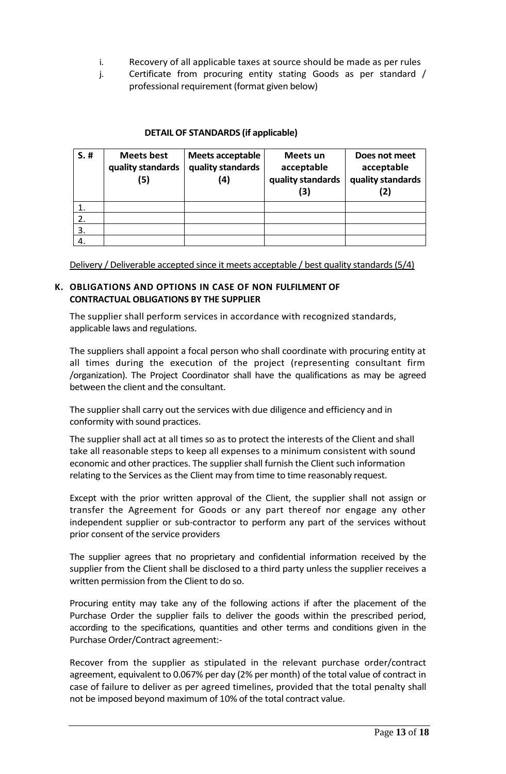- i. Recovery of all applicable taxes at source should be made as per rules
- j. Certificate from procuring entity stating Goods as per standard / professional requirement (format given below)

#### **DETAIL OF STANDARDS (if applicable)**

| $S.$ # | <b>Meets best</b><br>quality standards<br>(5) | Meets acceptable<br>quality standards<br>(4) | Meets un<br>acceptable<br>quality standards<br>(3) | Does not meet<br>acceptable<br>quality standards<br>(2) |
|--------|-----------------------------------------------|----------------------------------------------|----------------------------------------------------|---------------------------------------------------------|
|        |                                               |                                              |                                                    |                                                         |
|        |                                               |                                              |                                                    |                                                         |
| 3.     |                                               |                                              |                                                    |                                                         |
|        |                                               |                                              |                                                    |                                                         |

Delivery / Deliverable accepted since it meets acceptable / best quality standards (5/4)

#### **K. OBLIGATIONS AND OPTIONS IN CASE OF NON FULFILMENT OF CONTRACTUAL OBLIGATIONS BY THE SUPPLIER**

The supplier shall perform services in accordance with recognized standards, applicable laws and regulations.

The suppliers shall appoint a focal person who shall coordinate with procuring entity at all times during the execution of the project (representing consultant firm /organization). The Project Coordinator shall have the qualifications as may be agreed between the client and the consultant.

The supplier shall carry out the services with due diligence and efficiency and in conformity with sound practices.

The supplier shall act at all times so as to protect the interests of the Client and shall take all reasonable steps to keep all expenses to a minimum consistent with sound economic and other practices. The supplier shall furnish the Client such information relating to the Services as the Client may from time to time reasonably request.

Except with the prior written approval of the Client, the supplier shall not assign or transfer the Agreement for Goods or any part thereof nor engage any other independent supplier or sub-contractor to perform any part of the services without prior consent of the service providers

The supplier agrees that no proprietary and confidential information received by the supplier from the Client shall be disclosed to a third party unless the supplier receives a written permission from the Client to do so.

Procuring entity may take any of the following actions if after the placement of the Purchase Order the supplier fails to deliver the goods within the prescribed period, according to the specifications, quantities and other terms and conditions given in the Purchase Order/Contract agreement:-

Recover from the supplier as stipulated in the relevant purchase order/contract agreement, equivalent to 0.067% per day (2% per month) of the total value of contract in case of failure to deliver as per agreed timelines, provided that the total penalty shall not be imposed beyond maximum of 10% of the total contract value.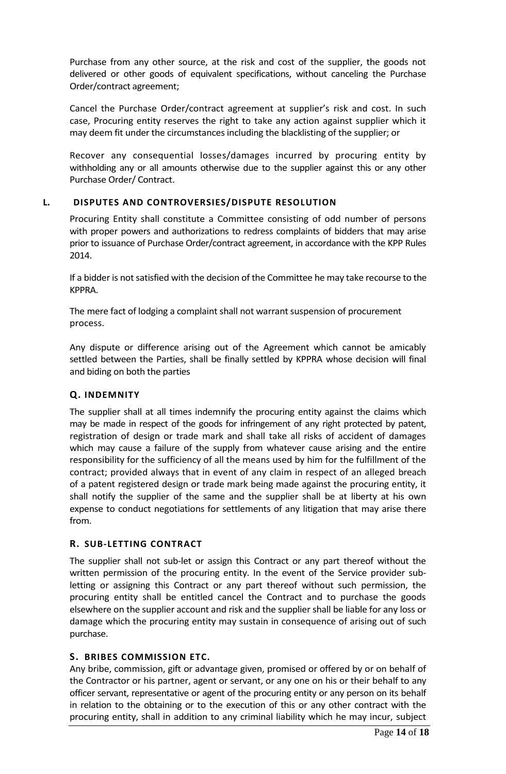Purchase from any other source, at the risk and cost of the supplier, the goods not delivered or other goods of equivalent specifications, without canceling the Purchase Order/contract agreement;

Cancel the Purchase Order/contract agreement at supplier's risk and cost. In such case, Procuring entity reserves the right to take any action against supplier which it may deem fit under the circumstances including the blacklisting of the supplier; or

Recover any consequential losses/damages incurred by procuring entity by withholding any or all amounts otherwise due to the supplier against this or any other Purchase Order/ Contract.

#### **L. DISPUTES AND CONTROVERSIES/DISPUTE RESOLUTION**

Procuring Entity shall constitute a Committee consisting of odd number of persons with proper powers and authorizations to redress complaints of bidders that may arise prior to issuance of Purchase Order/contract agreement, in accordance with the KPP Rules 2014.

If a bidder is not satisfied with the decision of the Committee he may take recourse to the KPPRA.

The mere fact of lodging a complaint shall not warrant suspension of procurement process.

Any dispute or difference arising out of the Agreement which cannot be amicably settled between the Parties, shall be finally settled by KPPRA whose decision will final and biding on both the parties

#### **Q. INDEMNITY**

The supplier shall at all times indemnify the procuring entity against the claims which may be made in respect of the goods for infringement of any right protected by patent, registration of design or trade mark and shall take all risks of accident of damages which may cause a failure of the supply from whatever cause arising and the entire responsibility for the sufficiency of all the means used by him for the fulfillment of the contract; provided always that in event of any claim in respect of an alleged breach of a patent registered design or trade mark being made against the procuring entity, it shall notify the supplier of the same and the supplier shall be at liberty at his own expense to conduct negotiations for settlements of any litigation that may arise there from.

#### **R. SUB-LETTING CONTRACT**

The supplier shall not sub-let or assign this Contract or any part thereof without the written permission of the procuring entity. In the event of the Service provider subletting or assigning this Contract or any part thereof without such permission, the procuring entity shall be entitled cancel the Contract and to purchase the goods elsewhere on the supplier account and risk and the supplier shall be liable for any loss or damage which the procuring entity may sustain in consequence of arising out of such purchase.

#### **S. BRIBES COMMISSION ETC.**

Any bribe, commission, gift or advantage given, promised or offered by or on behalf of the Contractor or his partner, agent or servant, or any one on his or their behalf to any officer servant, representative or agent of the procuring entity or any person on its behalf in relation to the obtaining or to the execution of this or any other contract with the procuring entity, shall in addition to any criminal liability which he may incur, subject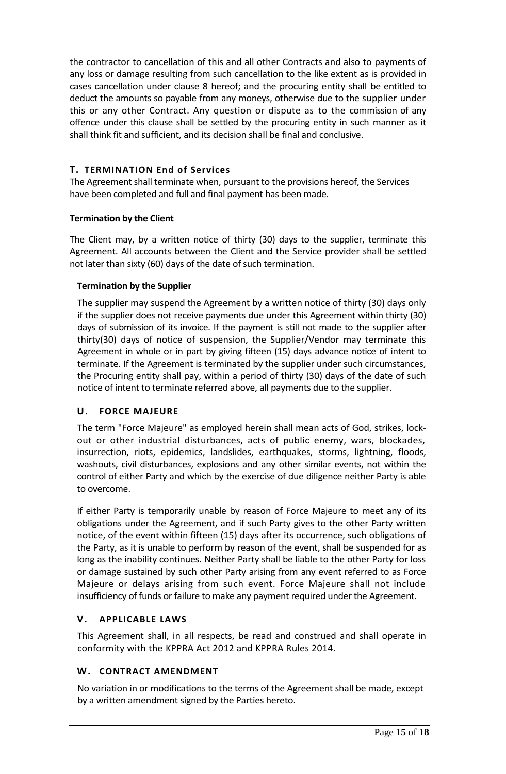the contractor to cancellation of this and all other Contracts and also to payments of any loss or damage resulting from such cancellation to the like extent as is provided in cases cancellation under clause 8 hereof; and the procuring entity shall be entitled to deduct the amounts so payable from any moneys, otherwise due to the supplier under this or any other Contract. Any question or dispute as to the commission of any offence under this clause shall be settled by the procuring entity in such manner as it shall think fit and sufficient, and its decision shall be final and conclusive.

#### **T. TERMINATION End of Services**

The Agreement shall terminate when, pursuant to the provisions hereof, the Services have been completed and full and final payment has been made.

#### **Termination by the Client**

The Client may, by a written notice of thirty (30) days to the supplier, terminate this Agreement. All accounts between the Client and the Service provider shall be settled not later than sixty (60) days of the date of such termination.

#### **Termination by the Supplier**

The supplier may suspend the Agreement by a written notice of thirty (30) days only if the supplier does not receive payments due under this Agreement within thirty (30) days of submission of its invoice. If the payment is still not made to the supplier after thirty(30) days of notice of suspension, the Supplier/Vendor may terminate this Agreement in whole or in part by giving fifteen (15) days advance notice of intent to terminate. If the Agreement is terminated by the supplier under such circumstances, the Procuring entity shall pay, within a period of thirty (30) days of the date of such notice of intent to terminate referred above, all payments due to the supplier.

#### **U. FORCE MAJEURE**

The term "Force Majeure" as employed herein shall mean acts of God, strikes, lockout or other industrial disturbances, acts of public enemy, wars, blockades, insurrection, riots, epidemics, landslides, earthquakes, storms, lightning, floods, washouts, civil disturbances, explosions and any other similar events, not within the control of either Party and which by the exercise of due diligence neither Party is able to overcome.

If either Party is temporarily unable by reason of Force Majeure to meet any of its obligations under the Agreement, and if such Party gives to the other Party written notice, of the event within fifteen (15) days after its occurrence, such obligations of the Party, as it is unable to perform by reason of the event, shall be suspended for as long as the inability continues. Neither Party shall be liable to the other Party for loss or damage sustained by such other Party arising from any event referred to as Force Majeure or delays arising from such event. Force Majeure shall not include insufficiency of funds or failure to make any payment required under the Agreement.

#### **V. APPLICABLE LAWS**

This Agreement shall, in all respects, be read and construed and shall operate in conformity with the KPPRA Act 2012 and KPPRA Rules 2014.

# **W. CONTRACT AMENDMENT**

No variation in or modifications to the terms of the Agreement shall be made, except by a written amendment signed by the Parties hereto.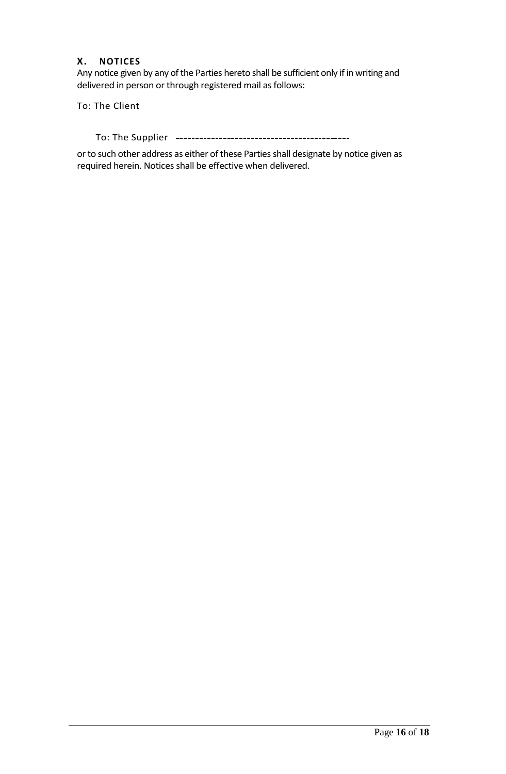### **X. NOTICES**

Any notice given by any of the Parties hereto shall be sufficient only if in writing and delivered in person or through registered mail as follows:

To: The Client

To: The Supplier

or to such other address as either of these Parties shall designate by notice given as required herein. Notices shall be effective when delivered.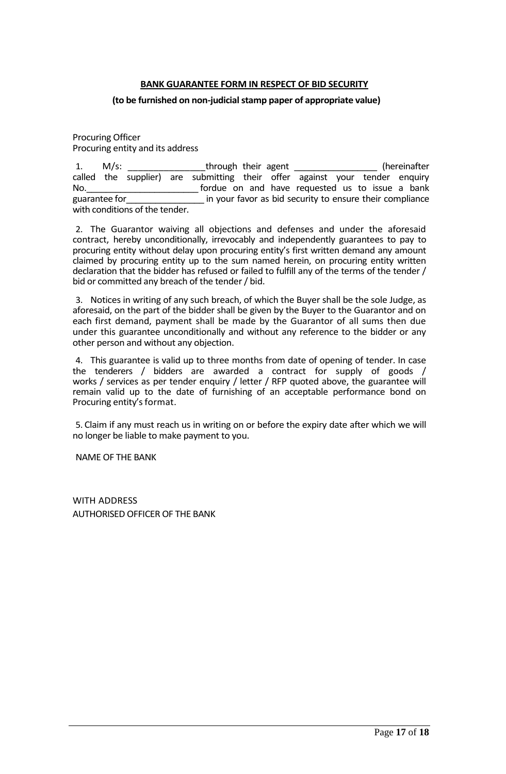#### **BANK GUARANTEE FORM IN RESPECT OF BID SECURITY**

#### <span id="page-16-0"></span>**(to be furnished on non-judicial stamp paper of appropriate value)**

Procuring Officer Procuring entity and its address

1. M/s: through their agent the second their and the second the second the second the second the second the second the second term in the second term in the second term in the second term in the second term in the second t called the supplier) are submitting their offer against your tender enquiry No. The same of the same of the requested us to issue a bank guarantee for entitled in your favor as bid security to ensure their compliance with conditions of the tender.

2. The Guarantor waiving all objections and defenses and under the aforesaid contract, hereby unconditionally, irrevocably and independently guarantees to pay to procuring entity without delay upon procuring entity's first written demand any amount claimed by procuring entity up to the sum named herein, on procuring entity written declaration that the bidder has refused or failed to fulfill any of the terms of the tender / bid or committed any breach of the tender / bid.

3. Notices in writing of any such breach, of which the Buyer shall be the sole Judge, as aforesaid, on the part of the bidder shall be given by the Buyer to the Guarantor and on each first demand, payment shall be made by the Guarantor of all sums then due under this guarantee unconditionally and without any reference to the bidder or any other person and without any objection.

4. This guarantee is valid up to three months from date of opening of tender. In case the tenderers / bidders are awarded a contract for supply of goods / works / services as per tender enquiry / letter / RFP quoted above, the guarantee will remain valid up to the date of furnishing of an acceptable performance bond on Procuring entity's format.

5. Claim if any must reach us in writing on or before the expiry date after which we will no longer be liable to make payment to you.

NAME OF THE BANK

WITH ADDRESS AUTHORISED OFFICER OF THE BANK